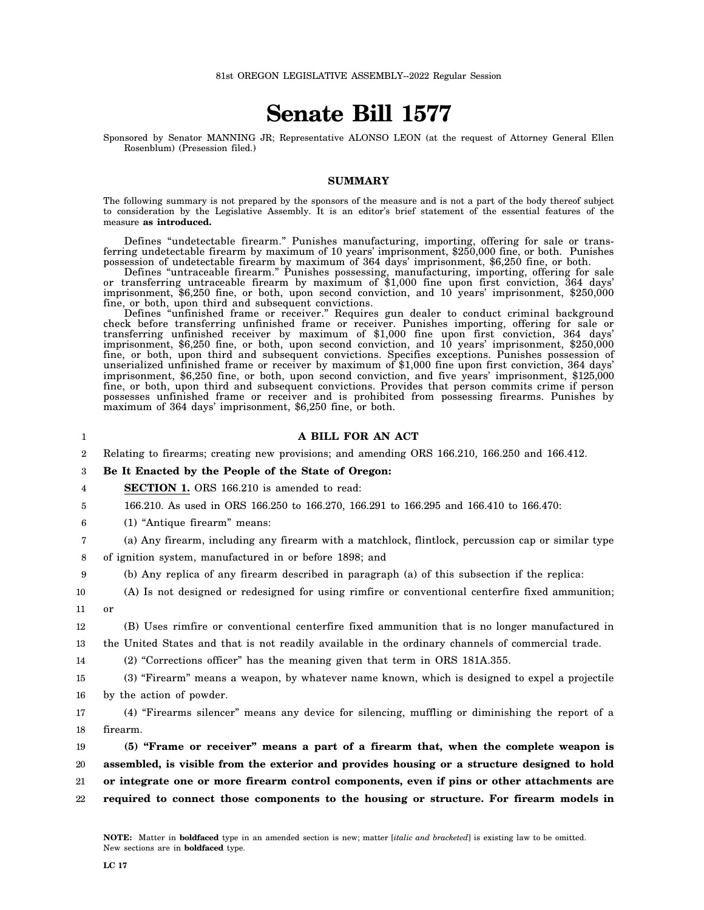## **Senate Bill 1577**

Sponsored by Senator MANNING JR; Representative ALONSO LEON (at the request of Attorney General Ellen Rosenblum) (Presession filed.)

## **SUMMARY**

The following summary is not prepared by the sponsors of the measure and is not a part of the body thereof subject to consideration by the Legislative Assembly. It is an editor's brief statement of the essential features of the measure **as introduced.**

Defines "undetectable firearm." Punishes manufacturing, importing, offering for sale or transferring undetectable firearm by maximum of 10 years' imprisonment, \$250,000 fine, or both. Punishes possession of undetectable firearm by maximum of 364 days' imprisonment, \$6,250 fine, or both.

Defines "untraceable firearm." Punishes possessing, manufacturing, importing, offering for sale or transferring untraceable firearm by maximum of \$1,000 fine upon first conviction, 364 days' imprisonment, \$6,250 fine, or both, upon second conviction, and 10 years' imprisonment, \$250,000 fine, or both, upon third and subsequent convictions.

Defines "unfinished frame or receiver." Requires gun dealer to conduct criminal background check before transferring unfinished frame or receiver. Punishes importing, offering for sale or transferring unfinished receiver by maximum of \$1,000 fine upon first conviction, 364 days' imprisonment, \$6,250 fine, or both, upon second conviction, and 10 years' imprisonment, \$250,000 fine, or both, upon third and subsequent convictions. Specifies exceptions. Punishes possession of unserialized unfinished frame or receiver by maximum of \$1,000 fine upon first conviction, 364 days' imprisonment, \$6,250 fine, or both, upon second conviction, and five years' imprisonment, \$125,000 fine, or both, upon third and subsequent convictions. Provides that person commits crime if person possesses unfinished frame or receiver and is prohibited from possessing firearms. Punishes by maximum of 364 days' imprisonment, \$6,250 fine, or both.

| 1                | A BILL FOR AN ACT                                                                                  |
|------------------|----------------------------------------------------------------------------------------------------|
| $\boldsymbol{2}$ | Relating to firearms; creating new provisions; and amending ORS 166.210, 166.250 and 166.412.      |
| 3                | Be It Enacted by the People of the State of Oregon:                                                |
| 4                | <b>SECTION 1.</b> ORS 166.210 is amended to read:                                                  |
| 5                | 166.210. As used in ORS 166.250 to 166.270, 166.291 to 166.295 and 166.410 to 166.470:             |
| 6                | (1) "Antique firearm" means:                                                                       |
| 7                | (a) Any firearm, including any firearm with a matchlock, flintlock, percussion cap or similar type |
| 8                | of ignition system, manufactured in or before 1898; and                                            |
| 9                | (b) Any replica of any firearm described in paragraph (a) of this subsection if the replica:       |
| 10               | (A) Is not designed or redesigned for using rimfire or conventional centerfire fixed ammunition;   |
| 11               | or                                                                                                 |
| 12               | (B) Uses rimfire or conventional centerfire fixed ammunition that is no longer manufactured in     |
| 13               | the United States and that is not readily available in the ordinary channels of commercial trade.  |
| 14               | (2) "Corrections officer" has the meaning given that term in ORS 181A.355.                         |
| 15               | (3) "Firearm" means a weapon, by whatever name known, which is designed to expel a projectile      |
| 16               | by the action of powder.                                                                           |
| 17               | (4) "Firearms silencer" means any device for silencing, muffling or diminishing the report of a    |
| 18               | firearm.                                                                                           |
| 19               | (5) "Frame or receiver" means a part of a firearm that, when the complete weapon is                |
| 20               | assembled, is visible from the exterior and provides housing or a structure designed to hold       |
| 21               | or integrate one or more firearm control components, even if pins or other attachments are         |
| 22               | required to connect those components to the housing or structure. For firearm models in            |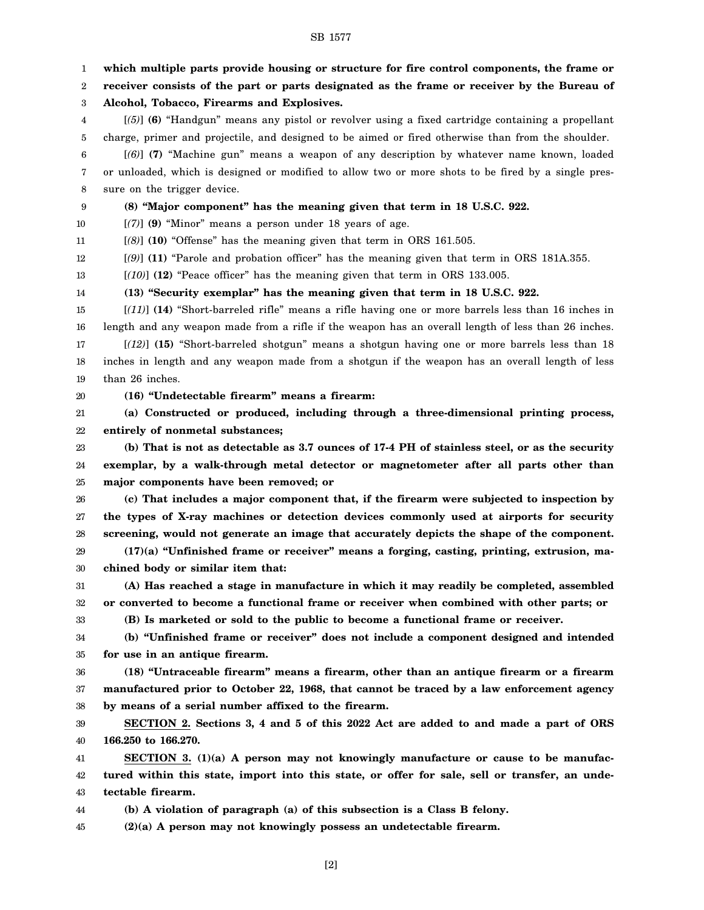1 2 3 4 5 6 7 8 9 10 11 12 13 14 15 16 17 18 19 20 21 22 23 24 25 26 27 28 29 30 31 32 33 34 35 36 37 38 39 40 41 42 43 44 45 **which multiple parts provide housing or structure for fire control components, the frame or receiver consists of the part or parts designated as the frame or receiver by the Bureau of Alcohol, Tobacco, Firearms and Explosives.** [*(5)*] **(6)** "Handgun" means any pistol or revolver using a fixed cartridge containing a propellant charge, primer and projectile, and designed to be aimed or fired otherwise than from the shoulder. [*(6)*] **(7)** "Machine gun" means a weapon of any description by whatever name known, loaded or unloaded, which is designed or modified to allow two or more shots to be fired by a single pressure on the trigger device. **(8) "Major component" has the meaning given that term in 18 U.S.C. 922.** [*(7)*] **(9)** "Minor" means a person under 18 years of age. [*(8)*] **(10)** "Offense" has the meaning given that term in ORS 161.505. [*(9)*] **(11)** "Parole and probation officer" has the meaning given that term in ORS 181A.355. [*(10)*] **(12)** "Peace officer" has the meaning given that term in ORS 133.005. **(13) "Security exemplar" has the meaning given that term in 18 U.S.C. 922.** [*(11)*] **(14)** "Short-barreled rifle" means a rifle having one or more barrels less than 16 inches in length and any weapon made from a rifle if the weapon has an overall length of less than 26 inches. [*(12)*] **(15)** "Short-barreled shotgun" means a shotgun having one or more barrels less than 18 inches in length and any weapon made from a shotgun if the weapon has an overall length of less than 26 inches. **(16) "Undetectable firearm" means a firearm: (a) Constructed or produced, including through a three-dimensional printing process, entirely of nonmetal substances; (b) That is not as detectable as 3.7 ounces of 17-4 PH of stainless steel, or as the security exemplar, by a walk-through metal detector or magnetometer after all parts other than major components have been removed; or (c) That includes a major component that, if the firearm were subjected to inspection by the types of X-ray machines or detection devices commonly used at airports for security screening, would not generate an image that accurately depicts the shape of the component. (17)(a) "Unfinished frame or receiver" means a forging, casting, printing, extrusion, machined body or similar item that: (A) Has reached a stage in manufacture in which it may readily be completed, assembled or converted to become a functional frame or receiver when combined with other parts; or (B) Is marketed or sold to the public to become a functional frame or receiver. (b) "Unfinished frame or receiver" does not include a component designed and intended for use in an antique firearm. (18) "Untraceable firearm" means a firearm, other than an antique firearm or a firearm manufactured prior to October 22, 1968, that cannot be traced by a law enforcement agency by means of a serial number affixed to the firearm. SECTION 2. Sections 3, 4 and 5 of this 2022 Act are added to and made a part of ORS 166.250 to 166.270. SECTION 3. (1)(a) A person may not knowingly manufacture or cause to be manufactured within this state, import into this state, or offer for sale, sell or transfer, an undetectable firearm. (b) A violation of paragraph (a) of this subsection is a Class B felony. (2)(a) A person may not knowingly possess an undetectable firearm.**

SB 1577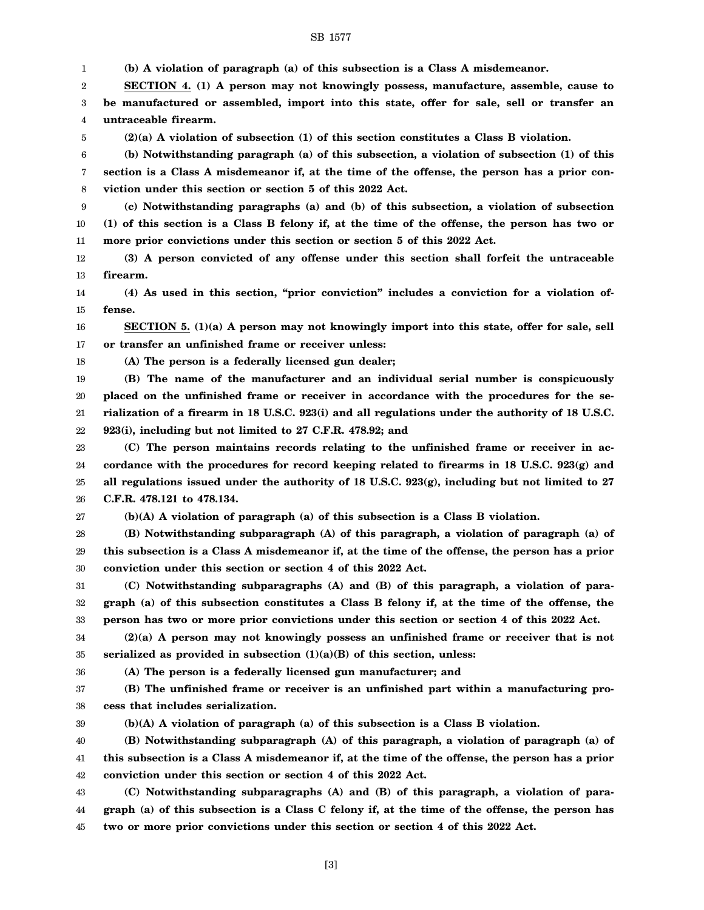## SB 1577

1 2 3 4 5 6 7 8 9 10 11 12 13 14 15 16 17 18 19 20 21 22 23 24 25 26 27 28 29 30 31 32 33 34 35 36 37 38 39 40 41 42 43 44 45 **(b) A violation of paragraph (a) of this subsection is a Class A misdemeanor. SECTION 4. (1) A person may not knowingly possess, manufacture, assemble, cause to be manufactured or assembled, import into this state, offer for sale, sell or transfer an untraceable firearm. (2)(a) A violation of subsection (1) of this section constitutes a Class B violation. (b) Notwithstanding paragraph (a) of this subsection, a violation of subsection (1) of this section is a Class A misdemeanor if, at the time of the offense, the person has a prior conviction under this section or section 5 of this 2022 Act. (c) Notwithstanding paragraphs (a) and (b) of this subsection, a violation of subsection (1) of this section is a Class B felony if, at the time of the offense, the person has two or more prior convictions under this section or section 5 of this 2022 Act. (3) A person convicted of any offense under this section shall forfeit the untraceable firearm. (4) As used in this section, "prior conviction" includes a conviction for a violation offense. SECTION 5. (1)(a) A person may not knowingly import into this state, offer for sale, sell or transfer an unfinished frame or receiver unless: (A) The person is a federally licensed gun dealer; (B) The name of the manufacturer and an individual serial number is conspicuously placed on the unfinished frame or receiver in accordance with the procedures for the serialization of a firearm in 18 U.S.C. 923(i) and all regulations under the authority of 18 U.S.C. 923(i), including but not limited to 27 C.F.R. 478.92; and (C) The person maintains records relating to the unfinished frame or receiver in accordance with the procedures for record keeping related to firearms in 18 U.S.C. 923(g) and all regulations issued under the authority of 18 U.S.C. 923(g), including but not limited to 27 C.F.R. 478.121 to 478.134. (b)(A) A violation of paragraph (a) of this subsection is a Class B violation. (B) Notwithstanding subparagraph (A) of this paragraph, a violation of paragraph (a) of this subsection is a Class A misdemeanor if, at the time of the offense, the person has a prior conviction under this section or section 4 of this 2022 Act. (C) Notwithstanding subparagraphs (A) and (B) of this paragraph, a violation of paragraph (a) of this subsection constitutes a Class B felony if, at the time of the offense, the person has two or more prior convictions under this section or section 4 of this 2022 Act. (2)(a) A person may not knowingly possess an unfinished frame or receiver that is not serialized as provided in subsection (1)(a)(B) of this section, unless: (A) The person is a federally licensed gun manufacturer; and (B) The unfinished frame or receiver is an unfinished part within a manufacturing process that includes serialization. (b)(A) A violation of paragraph (a) of this subsection is a Class B violation. (B) Notwithstanding subparagraph (A) of this paragraph, a violation of paragraph (a) of this subsection is a Class A misdemeanor if, at the time of the offense, the person has a prior conviction under this section or section 4 of this 2022 Act. (C) Notwithstanding subparagraphs (A) and (B) of this paragraph, a violation of paragraph (a) of this subsection is a Class C felony if, at the time of the offense, the person has two or more prior convictions under this section or section 4 of this 2022 Act.**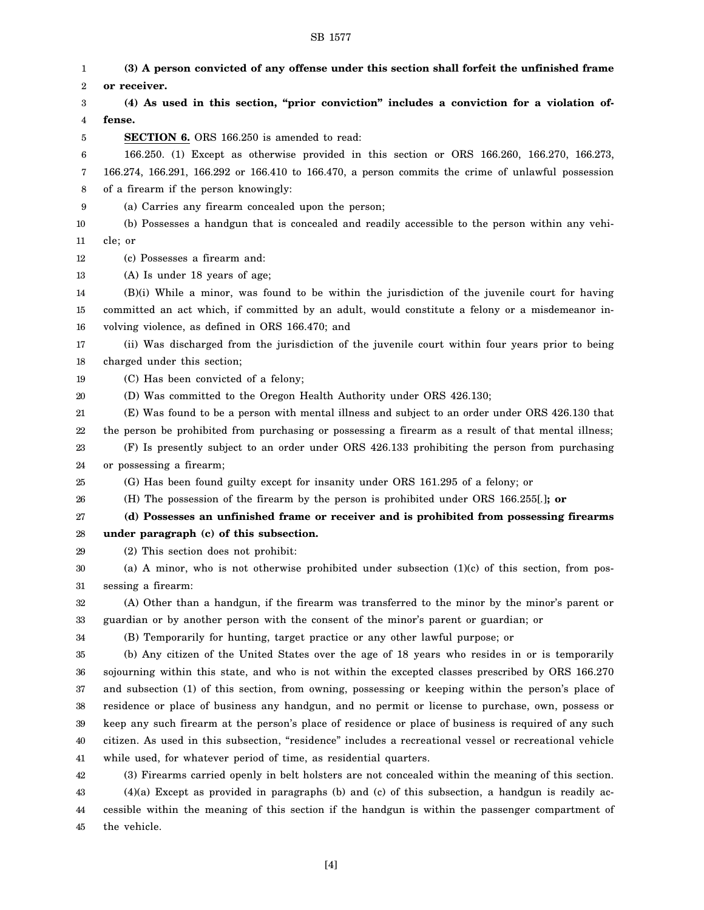1 2 3 4 5 6 7 8 9 10 11 12 13 14 15 16 17 18 19 20 21 22 23 24 25 26 27 28 29 30 31 32 33 34 35 36 37 38 39 40 41 42 43 44 **(3) A person convicted of any offense under this section shall forfeit the unfinished frame or receiver. (4) As used in this section, "prior conviction" includes a conviction for a violation offense. SECTION 6.** ORS 166.250 is amended to read: 166.250. (1) Except as otherwise provided in this section or ORS 166.260, 166.270, 166.273, 166.274, 166.291, 166.292 or 166.410 to 166.470, a person commits the crime of unlawful possession of a firearm if the person knowingly: (a) Carries any firearm concealed upon the person; (b) Possesses a handgun that is concealed and readily accessible to the person within any vehicle; or (c) Possesses a firearm and: (A) Is under 18 years of age; (B)(i) While a minor, was found to be within the jurisdiction of the juvenile court for having committed an act which, if committed by an adult, would constitute a felony or a misdemeanor involving violence, as defined in ORS 166.470; and (ii) Was discharged from the jurisdiction of the juvenile court within four years prior to being charged under this section; (C) Has been convicted of a felony; (D) Was committed to the Oregon Health Authority under ORS 426.130; (E) Was found to be a person with mental illness and subject to an order under ORS 426.130 that the person be prohibited from purchasing or possessing a firearm as a result of that mental illness; (F) Is presently subject to an order under ORS 426.133 prohibiting the person from purchasing or possessing a firearm; (G) Has been found guilty except for insanity under ORS 161.295 of a felony; or (H) The possession of the firearm by the person is prohibited under ORS 166.255[*.*]**; or (d) Possesses an unfinished frame or receiver and is prohibited from possessing firearms under paragraph (c) of this subsection.** (2) This section does not prohibit: (a) A minor, who is not otherwise prohibited under subsection  $(1)(c)$  of this section, from possessing a firearm: (A) Other than a handgun, if the firearm was transferred to the minor by the minor's parent or guardian or by another person with the consent of the minor's parent or guardian; or (B) Temporarily for hunting, target practice or any other lawful purpose; or (b) Any citizen of the United States over the age of 18 years who resides in or is temporarily sojourning within this state, and who is not within the excepted classes prescribed by ORS 166.270 and subsection (1) of this section, from owning, possessing or keeping within the person's place of residence or place of business any handgun, and no permit or license to purchase, own, possess or keep any such firearm at the person's place of residence or place of business is required of any such citizen. As used in this subsection, "residence" includes a recreational vessel or recreational vehicle while used, for whatever period of time, as residential quarters. (3) Firearms carried openly in belt holsters are not concealed within the meaning of this section. (4)(a) Except as provided in paragraphs (b) and (c) of this subsection, a handgun is readily accessible within the meaning of this section if the handgun is within the passenger compartment of

SB 1577

45 the vehicle.

[4]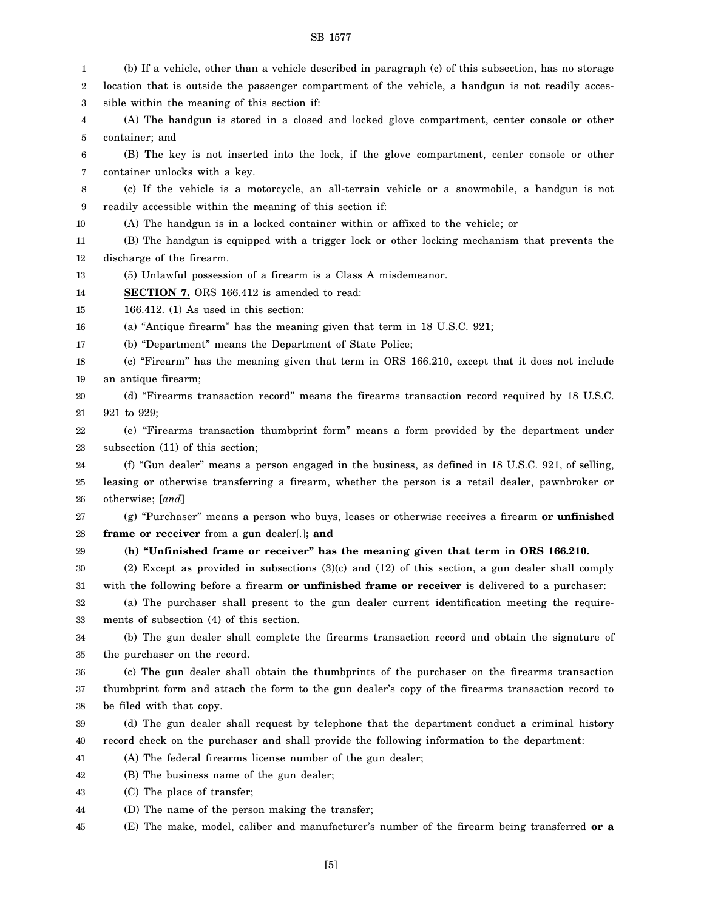## SB 1577

| 1  | (b) If a vehicle, other than a vehicle described in paragraph (c) of this subsection, has no storage |
|----|------------------------------------------------------------------------------------------------------|
| 2  | location that is outside the passenger compartment of the vehicle, a handgun is not readily acces-   |
| 3  | sible within the meaning of this section if:                                                         |
| 4  | (A) The handgun is stored in a closed and locked glove compartment, center console or other          |
| 5  | container; and                                                                                       |
| 6  | (B) The key is not inserted into the lock, if the glove compartment, center console or other         |
| 7  | container unlocks with a key.                                                                        |
| 8  | (c) If the vehicle is a motorcycle, an all-terrain vehicle or a snowmobile, a handgun is not         |
| 9  | readily accessible within the meaning of this section if:                                            |
| 10 | (A) The handgun is in a locked container within or affixed to the vehicle; or                        |
| 11 | (B) The handgun is equipped with a trigger lock or other locking mechanism that prevents the         |
| 12 | discharge of the firearm.                                                                            |
| 13 | (5) Unlawful possession of a firearm is a Class A misdemeanor.                                       |
| 14 | SECTION 7. ORS 166.412 is amended to read:                                                           |
| 15 | 166.412. $(1)$ As used in this section:                                                              |
| 16 | (a) "Antique firearm" has the meaning given that term in 18 U.S.C. 921;                              |
| 17 | (b) "Department" means the Department of State Police;                                               |
| 18 | (c) "Firearm" has the meaning given that term in ORS 166.210, except that it does not include        |
| 19 | an antique firearm;                                                                                  |
| 20 | (d) "Firearms transaction record" means the firearms transaction record required by 18 U.S.C.        |
| 21 | 921 to 929;                                                                                          |
| 22 | (e) "Firearms transaction thumbprint form" means a form provided by the department under             |
| 23 | subsection (11) of this section;                                                                     |
| 24 | (f) "Gun dealer" means a person engaged in the business, as defined in 18 U.S.C. 921, of selling,    |
| 25 | leasing or otherwise transferring a firearm, whether the person is a retail dealer, pawnbroker or    |
| 26 | otherwise; [and]                                                                                     |
| 27 | (g) "Purchaser" means a person who buys, leases or otherwise receives a firearm or unfinished        |
| 28 | frame or receiver from a gun dealer[.]; and                                                          |
| 29 | (h) "Unfinished frame or receiver" has the meaning given that term in ORS 166.210.                   |
| 30 | (2) Except as provided in subsections $(3)(c)$ and $(12)$ of this section, a gun dealer shall comply |
| 31 | with the following before a firearm or unfinished frame or receiver is delivered to a purchaser:     |
| 32 | (a) The purchaser shall present to the gun dealer current identification meeting the require-        |
| 33 | ments of subsection (4) of this section.                                                             |
| 34 | (b) The gun dealer shall complete the firearms transaction record and obtain the signature of        |
| 35 | the purchaser on the record.                                                                         |
| 36 | (c) The gun dealer shall obtain the thumbprints of the purchaser on the firearms transaction         |
| 37 | thumbprint form and attach the form to the gun dealer's copy of the firearms transaction record to   |
| 38 | be filed with that copy.                                                                             |
| 39 | (d) The gun dealer shall request by telephone that the department conduct a criminal history         |
| 40 | record check on the purchaser and shall provide the following information to the department:         |
| 41 | (A) The federal firearms license number of the gun dealer;                                           |
| 42 | (B) The business name of the gun dealer;                                                             |
| 43 | (C) The place of transfer;                                                                           |
| 44 | (D) The name of the person making the transfer;                                                      |
| 45 | (E) The make, model, caliber and manufacturer's number of the firearm being transferred or a         |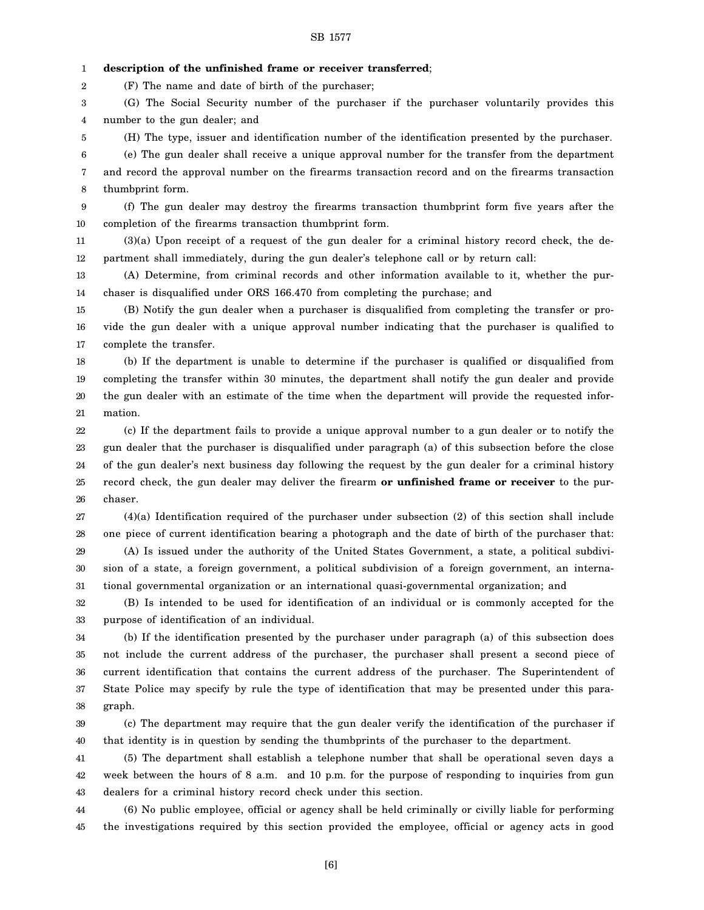1 **description of the unfinished frame or receiver transferred**;

(F) The name and date of birth of the purchaser;

2

5

3 4 (G) The Social Security number of the purchaser if the purchaser voluntarily provides this number to the gun dealer; and

(H) The type, issuer and identification number of the identification presented by the purchaser.

6 7 8 (e) The gun dealer shall receive a unique approval number for the transfer from the department and record the approval number on the firearms transaction record and on the firearms transaction thumbprint form.

9 10 (f) The gun dealer may destroy the firearms transaction thumbprint form five years after the completion of the firearms transaction thumbprint form.

11 12 (3)(a) Upon receipt of a request of the gun dealer for a criminal history record check, the department shall immediately, during the gun dealer's telephone call or by return call:

13 14 (A) Determine, from criminal records and other information available to it, whether the purchaser is disqualified under ORS 166.470 from completing the purchase; and

15 16 17 (B) Notify the gun dealer when a purchaser is disqualified from completing the transfer or provide the gun dealer with a unique approval number indicating that the purchaser is qualified to complete the transfer.

18 19 20 21 (b) If the department is unable to determine if the purchaser is qualified or disqualified from completing the transfer within 30 minutes, the department shall notify the gun dealer and provide the gun dealer with an estimate of the time when the department will provide the requested information.

22 23 24 25 26 (c) If the department fails to provide a unique approval number to a gun dealer or to notify the gun dealer that the purchaser is disqualified under paragraph (a) of this subsection before the close of the gun dealer's next business day following the request by the gun dealer for a criminal history record check, the gun dealer may deliver the firearm **or unfinished frame or receiver** to the purchaser.

27 28 29 30 (4)(a) Identification required of the purchaser under subsection (2) of this section shall include one piece of current identification bearing a photograph and the date of birth of the purchaser that: (A) Is issued under the authority of the United States Government, a state, a political subdivision of a state, a foreign government, a political subdivision of a foreign government, an interna-

31 tional governmental organization or an international quasi-governmental organization; and

32 33 (B) Is intended to be used for identification of an individual or is commonly accepted for the purpose of identification of an individual.

34 35 36 37 38 (b) If the identification presented by the purchaser under paragraph (a) of this subsection does not include the current address of the purchaser, the purchaser shall present a second piece of current identification that contains the current address of the purchaser. The Superintendent of State Police may specify by rule the type of identification that may be presented under this paragraph.

39 40 (c) The department may require that the gun dealer verify the identification of the purchaser if that identity is in question by sending the thumbprints of the purchaser to the department.

41 42 43 (5) The department shall establish a telephone number that shall be operational seven days a week between the hours of 8 a.m. and 10 p.m. for the purpose of responding to inquiries from gun dealers for a criminal history record check under this section.

44 45 (6) No public employee, official or agency shall be held criminally or civilly liable for performing the investigations required by this section provided the employee, official or agency acts in good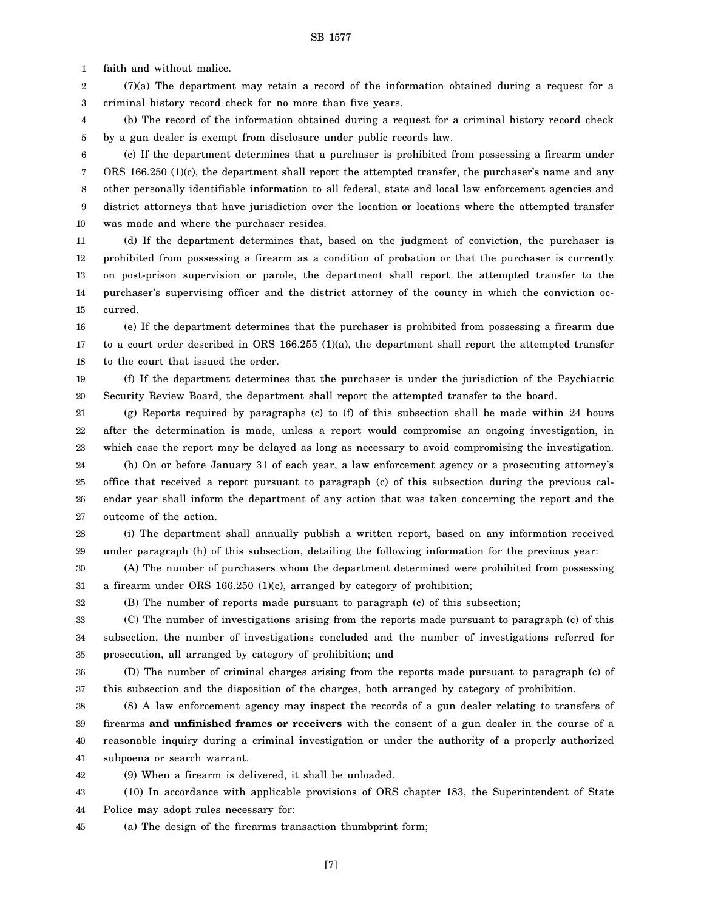1 faith and without malice.

2 3 (7)(a) The department may retain a record of the information obtained during a request for a criminal history record check for no more than five years.

4 5 (b) The record of the information obtained during a request for a criminal history record check by a gun dealer is exempt from disclosure under public records law.

6 7 8 9 10 (c) If the department determines that a purchaser is prohibited from possessing a firearm under ORS 166.250 (1)(c), the department shall report the attempted transfer, the purchaser's name and any other personally identifiable information to all federal, state and local law enforcement agencies and district attorneys that have jurisdiction over the location or locations where the attempted transfer was made and where the purchaser resides.

11 12 13 14 15 (d) If the department determines that, based on the judgment of conviction, the purchaser is prohibited from possessing a firearm as a condition of probation or that the purchaser is currently on post-prison supervision or parole, the department shall report the attempted transfer to the purchaser's supervising officer and the district attorney of the county in which the conviction occurred.

16 17 18 (e) If the department determines that the purchaser is prohibited from possessing a firearm due to a court order described in ORS 166.255 (1)(a), the department shall report the attempted transfer to the court that issued the order.

19 20 (f) If the department determines that the purchaser is under the jurisdiction of the Psychiatric Security Review Board, the department shall report the attempted transfer to the board.

21 22 23 (g) Reports required by paragraphs (c) to (f) of this subsection shall be made within 24 hours after the determination is made, unless a report would compromise an ongoing investigation, in which case the report may be delayed as long as necessary to avoid compromising the investigation.

24 25 26 27 (h) On or before January 31 of each year, a law enforcement agency or a prosecuting attorney's office that received a report pursuant to paragraph (c) of this subsection during the previous calendar year shall inform the department of any action that was taken concerning the report and the outcome of the action.

28 29 (i) The department shall annually publish a written report, based on any information received under paragraph (h) of this subsection, detailing the following information for the previous year:

30 31 (A) The number of purchasers whom the department determined were prohibited from possessing a firearm under ORS 166.250 (1)(c), arranged by category of prohibition;

32

(B) The number of reports made pursuant to paragraph (c) of this subsection;

33 34 35 (C) The number of investigations arising from the reports made pursuant to paragraph (c) of this subsection, the number of investigations concluded and the number of investigations referred for prosecution, all arranged by category of prohibition; and

36 37 (D) The number of criminal charges arising from the reports made pursuant to paragraph (c) of this subsection and the disposition of the charges, both arranged by category of prohibition.

38 39 40 41 (8) A law enforcement agency may inspect the records of a gun dealer relating to transfers of firearms **and unfinished frames or receivers** with the consent of a gun dealer in the course of a reasonable inquiry during a criminal investigation or under the authority of a properly authorized subpoena or search warrant.

42 (9) When a firearm is delivered, it shall be unloaded.

43 44 (10) In accordance with applicable provisions of ORS chapter 183, the Superintendent of State Police may adopt rules necessary for:

45 (a) The design of the firearms transaction thumbprint form;